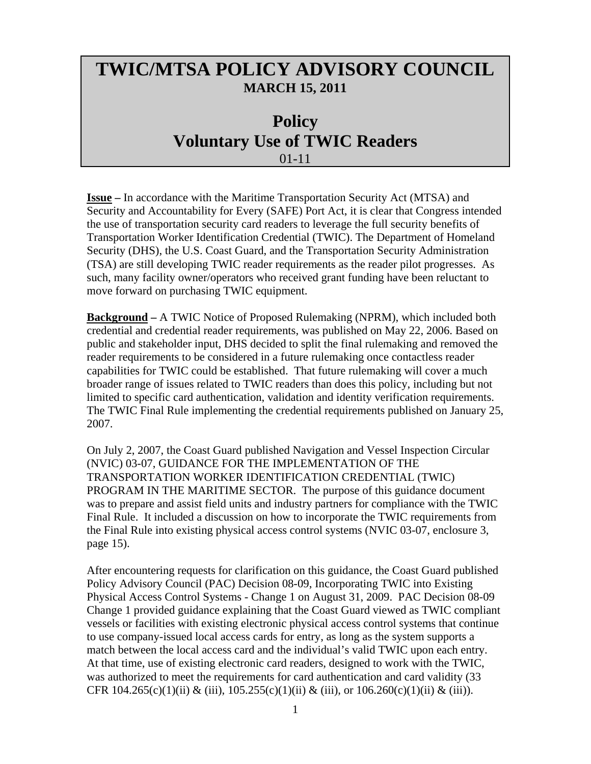## **TWIC/MTSA POLICY ADVISORY COUNCIL MARCH 15, 2011**

## **Policy Voluntary Use of TWIC Readers**  01-11

**Issue –** In accordance with the Maritime Transportation Security Act (MTSA) and Security and Accountability for Every (SAFE) Port Act, it is clear that Congress intended the use of transportation security card readers to leverage the full security benefits of Transportation Worker Identification Credential (TWIC). The Department of Homeland Security (DHS), the U.S. Coast Guard, and the Transportation Security Administration (TSA) are still developing TWIC reader requirements as the reader pilot progresses. As such, many facility owner/operators who received grant funding have been reluctant to move forward on purchasing TWIC equipment.

**Background –** A TWIC Notice of Proposed Rulemaking (NPRM), which included both credential and credential reader requirements, was published on May 22, 2006. Based on public and stakeholder input, DHS decided to split the final rulemaking and removed the reader requirements to be considered in a future rulemaking once contactless reader capabilities for TWIC could be established. That future rulemaking will cover a much broader range of issues related to TWIC readers than does this policy, including but not limited to specific card authentication, validation and identity verification requirements. The TWIC Final Rule implementing the credential requirements published on January 25, 2007.

On July 2, 2007, the Coast Guard published Navigation and Vessel Inspection Circular (NVIC) 03-07, GUIDANCE FOR THE IMPLEMENTATION OF THE TRANSPORTATION WORKER IDENTIFICATION CREDENTIAL (TWIC) PROGRAM IN THE MARITIME SECTOR. The purpose of this guidance document was to prepare and assist field units and industry partners for compliance with the TWIC Final Rule. It included a discussion on how to incorporate the TWIC requirements from the Final Rule into existing physical access control systems (NVIC 03-07, enclosure 3, page 15).

After encountering requests for clarification on this guidance, the Coast Guard published Policy Advisory Council (PAC) Decision 08-09, Incorporating TWIC into Existing Physical Access Control Systems - Change 1 on August 31, 2009. PAC Decision 08-09 Change 1 provided guidance explaining that the Coast Guard viewed as TWIC compliant vessels or facilities with existing electronic physical access control systems that continue to use company-issued local access cards for entry, as long as the system supports a match between the local access card and the individual's valid TWIC upon each entry. At that time, use of existing electronic card readers, designed to work with the TWIC, was authorized to meet the requirements for card authentication and card validity (33 CFR 104.265(c)(1)(ii) & (iii),  $105.255(c)(1)(ii)$  & (iii), or  $106.260(c)(1)(ii)$  & (iii)).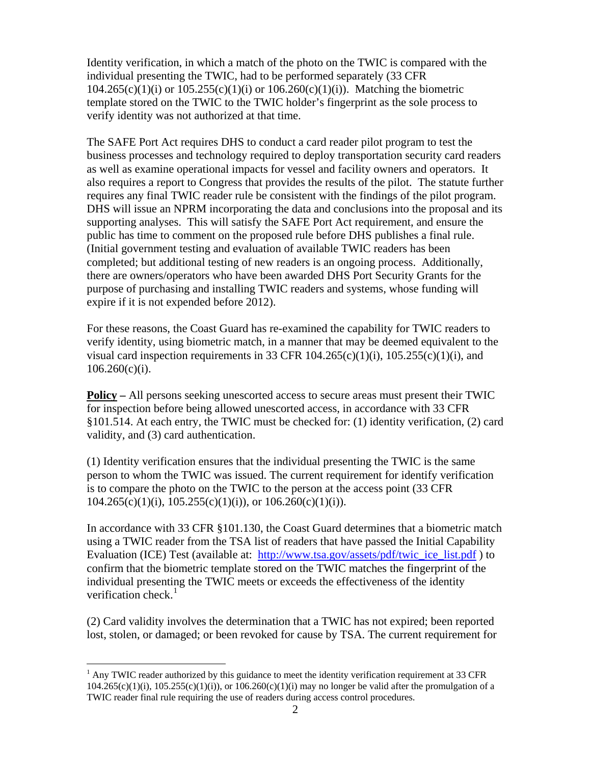Identity verification, in which a match of the photo on the TWIC is compared with the individual presenting the TWIC, had to be performed separately (33 CFR  $104.265(c)(1)(i)$  or  $105.255(c)(1)(i)$  or  $106.260(c)(1)(i)$ ). Matching the biometric template stored on the TWIC to the TWIC holder's fingerprint as the sole process to verify identity was not authorized at that time.

The SAFE Port Act requires DHS to conduct a card reader pilot program to test the business processes and technology required to deploy transportation security card readers as well as examine operational impacts for vessel and facility owners and operators. It also requires a report to Congress that provides the results of the pilot. The statute further requires any final TWIC reader rule be consistent with the findings of the pilot program. DHS will issue an NPRM incorporating the data and conclusions into the proposal and its supporting analyses. This will satisfy the SAFE Port Act requirement, and ensure the public has time to comment on the proposed rule before DHS publishes a final rule. (Initial government testing and evaluation of available TWIC readers has been completed; but additional testing of new readers is an ongoing process. Additionally, there are owners/operators who have been awarded DHS Port Security Grants for the purpose of purchasing and installing TWIC readers and systems, whose funding will expire if it is not expended before 2012).

For these reasons, the Coast Guard has re-examined the capability for TWIC readers to verify identity, using biometric match, in a manner that may be deemed equivalent to the visual card inspection requirements in 33 CFR  $104.265(c)(1)(i)$ ,  $105.255(c)(1)(i)$ , and  $106.260(c)(i)$ .

**Policy –** All persons seeking unescorted access to secure areas must present their TWIC for inspection before being allowed unescorted access, in accordance with 33 CFR §101.514. At each entry, the TWIC must be checked for: (1) identity verification, (2) card validity, and (3) card authentication.

(1) Identity verification ensures that the individual presenting the TWIC is the same person to whom the TWIC was issued. The current requirement for identify verification is to compare the photo on the TWIC to the person at the access point (33 CFR  $104.265(c)(1)(i)$ ,  $105.255(c)(1)(i)$ , or  $106.260(c)(1)(i)$ .

In accordance with 33 CFR §101.130, the Coast Guard determines that a biometric match using a TWIC reader from the TSA list of readers that have passed the Initial Capability Evaluation (ICE) Test (available at: [http://www.tsa.gov/assets/pdf/twic\\_ice\\_list.pdf](http://www.tsa.gov/assets/pdf/twic_ice_list.pdf) ) to confirm that the biometric template stored on the TWIC matches the fingerprint of the individual presenting the TWIC meets or exceeds the effectiveness of the identity verification check.<sup>[1](#page-1-0)</sup>

(2) Card validity involves the determination that a TWIC has not expired; been reported lost, stolen, or damaged; or been revoked for cause by TSA. The current requirement for

<span id="page-1-0"></span><sup>&</sup>lt;sup>1</sup> Any TWIC reader authorized by this guidance to meet the identity verification requirement at 33 CFR  $104.265(c)(1)(i)$ ,  $105.255(c)(1)(i)$ , or  $106.260(c)(1)(i)$  may no longer be valid after the promulgation of a TWIC reader final rule requiring the use of readers during access control procedures.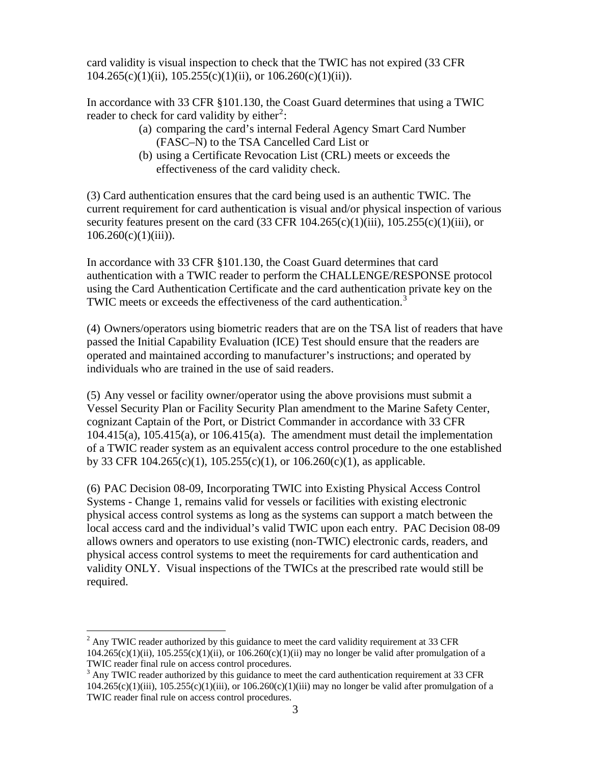card validity is visual inspection to check that the TWIC has not expired (33 CFR  $104.265(c)(1)(ii)$ ,  $105.255(c)(1)(ii)$ , or  $106.260(c)(1)(ii)$ .

In accordance with 33 CFR §101.130, the Coast Guard determines that using a TWIC reader to check for card validity by either<sup>[2](#page-2-0)</sup>:

- (a) comparing the card's internal Federal Agency Smart Card Number (FASC–N) to the TSA Cancelled Card List or
- (b) using a Certificate Revocation List (CRL) meets or exceeds the effectiveness of the card validity check.

(3) Card authentication ensures that the card being used is an authentic TWIC. The current requirement for card authentication is visual and/or physical inspection of various security features present on the card  $(33 \text{ CFR } 104.265(c)(1)(iii), 105.255(c)(1)(iii),$  or  $106.260(c)(1)(iii)$ ).

In accordance with 33 CFR §101.130, the Coast Guard determines that card authentication with a TWIC reader to perform the CHALLENGE/RESPONSE protocol using the Card Authentication Certificate and the card authentication private key on the TWIC meets or exceeds the effectiveness of the card authentication.<sup>[3](#page-2-1)</sup>

(4) Owners/operators using biometric readers that are on the TSA list of readers that have passed the Initial Capability Evaluation (ICE) Test should ensure that the readers are operated and maintained according to manufacturer's instructions; and operated by individuals who are trained in the use of said readers.

(5) Any vessel or facility owner/operator using the above provisions must submit a Vessel Security Plan or Facility Security Plan amendment to the Marine Safety Center, cognizant Captain of the Port, or District Commander in accordance with 33 CFR  $104.415(a)$ ,  $105.415(a)$ , or  $106.415(a)$ . The amendment must detail the implementation of a TWIC reader system as an equivalent access control procedure to the one established by 33 CFR 104.265(c)(1),  $105.255(c)(1)$ , or  $106.260(c)(1)$ , as applicable.

(6) PAC Decision 08-09, Incorporating TWIC into Existing Physical Access Control Systems - Change 1, remains valid for vessels or facilities with existing electronic physical access control systems as long as the systems can support a match between the local access card and the individual's valid TWIC upon each entry. PAC Decision 08-09 allows owners and operators to use existing (non-TWIC) electronic cards, readers, and physical access control systems to meet the requirements for card authentication and validity ONLY. Visual inspections of the TWICs at the prescribed rate would still be required.

<span id="page-2-0"></span><sup>1</sup>  $2$  Any TWIC reader authorized by this guidance to meet the card validity requirement at 33 CFR  $104.265(c)(1)(ii)$ ,  $105.255(c)(1)(ii)$ , or  $106.260(c)(1)(ii)$  may no longer be valid after promulgation of a TWIC reader final rule on access control procedures.

<span id="page-2-1"></span><sup>&</sup>lt;sup>3</sup> Any TWIC reader authorized by this guidance to meet the card authentication requirement at 33 CFR  $104.265(c)(1)(iii)$ ,  $105.255(c)(1)(iii)$ , or  $106.260(c)(1)(iii)$  may no longer be valid after promulgation of a TWIC reader final rule on access control procedures.